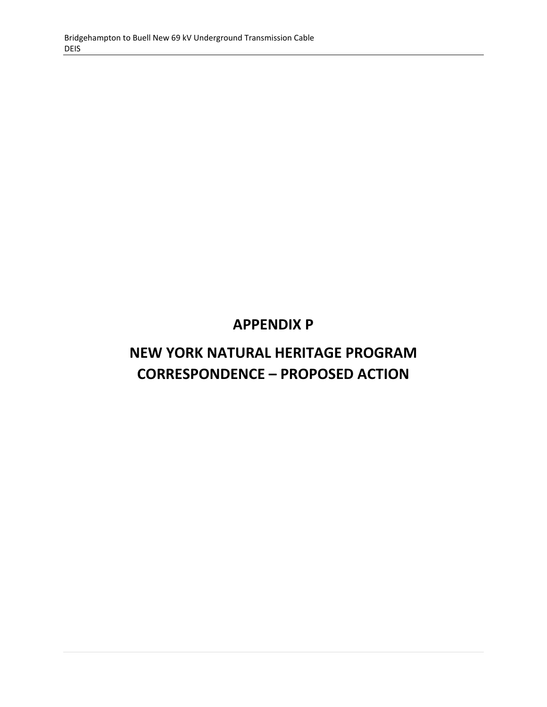## **APPENDIX P**

# **NEW YORK NATURAL HERITAGE PROGRAM CORRESPONDENCE – PROPOSED ACTION**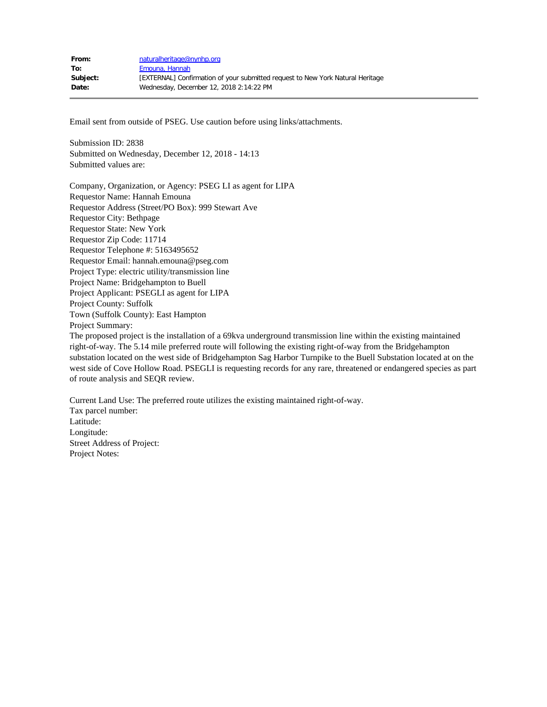Email sent from outside of PSEG. Use caution before using links/attachments.

Submission ID: 2838 Submitted on Wednesday, December 12, 2018 - 14:13 Submitted values are:

Company, Organization, or Agency: PSEG LI as agent for LIPA Requestor Name: Hannah Emouna Requestor Address (Street/PO Box): 999 Stewart Ave Requestor City: Bethpage Requestor State: New York Requestor Zip Code: 11714 Requestor Telephone #: 5163495652 Requestor Email: hannah.emouna@pseg.com Project Type: electric utility/transmission line Project Name: Bridgehampton to Buell Project Applicant: PSEGLI as agent for LIPA Project County: Suffolk Town (Suffolk County): East Hampton Project Summary: The proposed project is the installation of a 69kva underground transmission line within the existing maintained

right-of-way. The 5.14 mile preferred route will following the existing right-of-way from the Bridgehampton substation located on the west side of Bridgehampton Sag Harbor Turnpike to the Buell Substation located at on the west side of Cove Hollow Road. PSEGLI is requesting records for any rare, threatened or endangered species as part of route analysis and SEQR review.

Current Land Use: The preferred route utilizes the existing maintained right-of-way. Tax parcel number: Latitude: Longitude: Street Address of Project: Project Notes: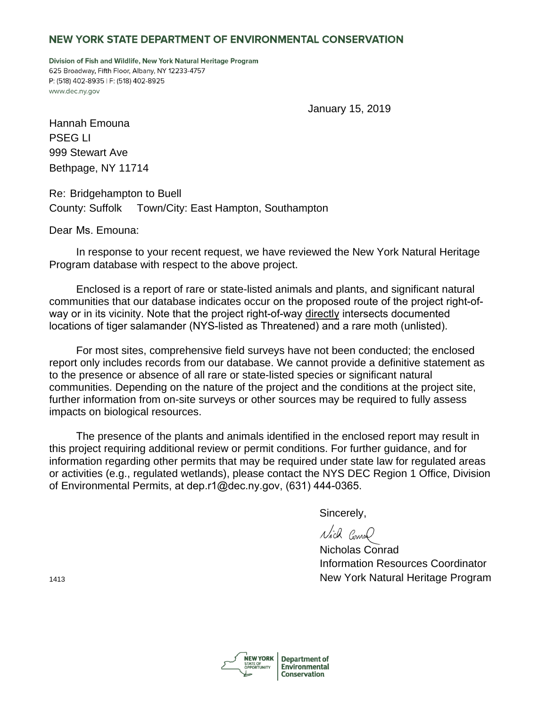### NEW YORK STATE DEPARTMENT OF ENVIRONMENTAL CONSERVATION

Division of Fish and Wildlife, New York Natural Heritage Program 625 Broadway, Fifth Floor, Albany, NY 12233-4757 P: (518) 402-8935 | F: (518) 402-8925 www.dec.ny.gov

January 15, 2019

Hannah Emouna PSEG LI 999 Stewart Ave Bethpage, NY 11714

Re: Bridgehampton to Buell County: Suffolk Town/City: East Hampton, Southampton

Dear Ms. Emouna:

 In response to your recent request, we have reviewed the New York Natural Heritage Program database with respect to the above project.

 Enclosed is a report of rare or state-listed animals and plants, and significant natural communities that our database indicates occur on the proposed route of the project right-ofway or in its vicinity. Note that the project right-of-way directly intersects documented locations of tiger salamander (NYS-listed as Threatened) and a rare moth (unlisted).

 For most sites, comprehensive field surveys have not been conducted; the enclosed report only includes records from our database. We cannot provide a definitive statement as to the presence or absence of all rare or state-listed species or significant natural communities. Depending on the nature of the project and the conditions at the project site, further information from on-site surveys or other sources may be required to fully assess impacts on biological resources.

 The presence of the plants and animals identified in the enclosed report may result in this project requiring additional review or permit conditions. For further guidance, and for information regarding other permits that may be required under state law for regulated areas or activities (e.g., regulated wetlands), please contact the NYS DEC Region 1 Office, Division of Environmental Permits, at dep.r1@dec.ny.gov, (631) 444-0365.

Sincerely,

Nich Como

Nicholas Conrad Information Resources Coordinator New York Natural Heritage Program



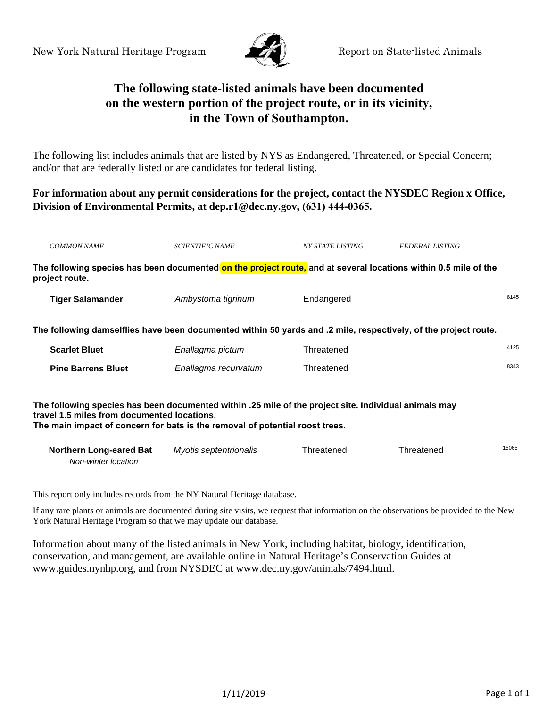

### **The following state-listed animals have been documented on the western portion of the project route, or in its vicinity, in the Town of Southampton.**

The following list includes animals that are listed by NYS as Endangered, Threatened, or Special Concern; and/or that are federally listed or are candidates for federal listing.

### **For information about any permit considerations for the project, contact the NYSDEC Region x Office, Division of Environmental Permits, at dep.r1@dec.ny.gov, (631) 444-0365.**

| <b>COMMON NAME</b>                                                                                                                                                                                                                   | <b>SCIENTIFIC NAME</b> | NY STATE LISTING | <b>FEDERAL LISTING</b> |       |  |  |
|--------------------------------------------------------------------------------------------------------------------------------------------------------------------------------------------------------------------------------------|------------------------|------------------|------------------------|-------|--|--|
| The following species has been documented on the project route, and at several locations within 0.5 mile of the<br>project route.                                                                                                    |                        |                  |                        |       |  |  |
| <b>Tiger Salamander</b>                                                                                                                                                                                                              | Ambystoma tigrinum     | Endangered       |                        | 8145  |  |  |
| The following damselflies have been documented within 50 yards and .2 mile, respectively, of the project route.                                                                                                                      |                        |                  |                        |       |  |  |
| <b>Scarlet Bluet</b>                                                                                                                                                                                                                 | Enallagma pictum       | Threatened       |                        | 4125  |  |  |
| <b>Pine Barrens Bluet</b>                                                                                                                                                                                                            | Enallagma recurvatum   | Threatened       |                        | 8343  |  |  |
| The following species has been documented within .25 mile of the project site. Individual animals may<br>travel 1.5 miles from documented locations.<br>The main impact of concern for bats is the removal of potential roost trees. |                        |                  |                        |       |  |  |
| <b>Northern Long-eared Bat</b><br>Non-winter location                                                                                                                                                                                | Myotis septentrionalis | Threatened       | Threatened             | 15065 |  |  |

This report only includes records from the NY Natural Heritage database.

If any rare plants or animals are documented during site visits, we request that information on the observations be provided to the New York Natural Heritage Program so that we may update our database.

Information about many of the listed animals in New York, including habitat, biology, identification, conservation, and management, are available online in Natural Heritage's Conservation Guides at www.guides.nynhp.org, and from NYSDEC at www.dec.ny.gov/animals/7494.html.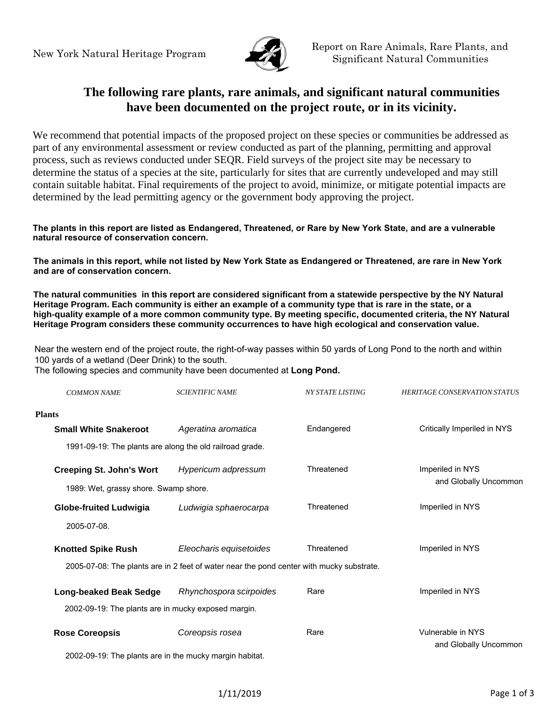

### **The following rare plants, rare animals, and significant natural communities have been documented on the project route, or in its vicinity.**

We recommend that potential impacts of the proposed project on these species or communities be addressed as part of any environmental assessment or review conducted as part of the planning, permitting and approval process, such as reviews conducted under SEQR. Field surveys of the project site may be necessary to determine the status of a species at the site, particularly for sites that are currently undeveloped and may still contain suitable habitat. Final requirements of the project to avoid, minimize, or mitigate potential impacts are determined by the lead permitting agency or the government body approving the project.

#### **The plants in this report are listed as Endangered, Threatened, or Rare by New York State, and are a vulnerable natural resource of conservation concern.**

**The animals in this report, while not listed by New York State as Endangered or Threatened, are rare in New York and are of conservation concern.**

**The natural communities in this report are considered significant from a statewide perspective by the NY Natural Heritage Program. Each community is either an example of a community type that is rare in the state, or a high-quality example of a more common community type. By meeting specific, documented criteria, the NY Natural Heritage Program considers these community occurrences to have high ecological and conservation value.**

Near the western end of the project route, the right-of-way passes within 50 yards of Long Pond to the north and within 100 yards of a wetland (Deer Drink) to the south.

The following species and community have been documented at **Long Pond.**

| <b>COMMON NAME</b>                                  | <b>SCIENTIFIC NAME</b>                                                                   | <b>NY STATE LISTING</b>   | <b>HERITAGE CONSERVATION STATUS</b> |
|-----------------------------------------------------|------------------------------------------------------------------------------------------|---------------------------|-------------------------------------|
| <b>Plants</b>                                       |                                                                                          |                           |                                     |
| <b>Small White Snakeroot</b>                        | Ageratina aromatica                                                                      | Endangered                | Critically Imperiled in NYS         |
|                                                     | 1991-09-19: The plants are along the old railroad grade.                                 |                           |                                     |
| <b>Creeping St. John's Wort</b>                     | Hypericum adpressum                                                                      | Threatened                | Imperiled in NYS                    |
| 1989: Wet, grassy shore. Swamp shore.               |                                                                                          |                           | and Globally Uncommon               |
| <b>Globe-fruited Ludwigia</b>                       | Ludwigia sphaerocarpa                                                                    | Threatened                | Imperiled in NYS                    |
| 2005-07-08.                                         |                                                                                          |                           |                                     |
| <b>Knotted Spike Rush</b>                           | Eleocharis equisetoides                                                                  | Threatened                | Imperiled in NYS                    |
|                                                     | 2005-07-08: The plants are in 2 feet of water near the pond center with mucky substrate. |                           |                                     |
| <b>Long-beaked Beak Sedge</b>                       | Rhynchospora scirpoides                                                                  | Rare                      | Imperiled in NYS                    |
| 2002-09-19: The plants are in mucky exposed margin. |                                                                                          |                           |                                     |
| <b>Rose Coreopsis</b>                               | Coreopsis rosea                                                                          | Vulnerable in NYS<br>Rare |                                     |
|                                                     | 2002-09-19: The plants are in the mucky margin habitat.                                  |                           | and Globally Uncommon               |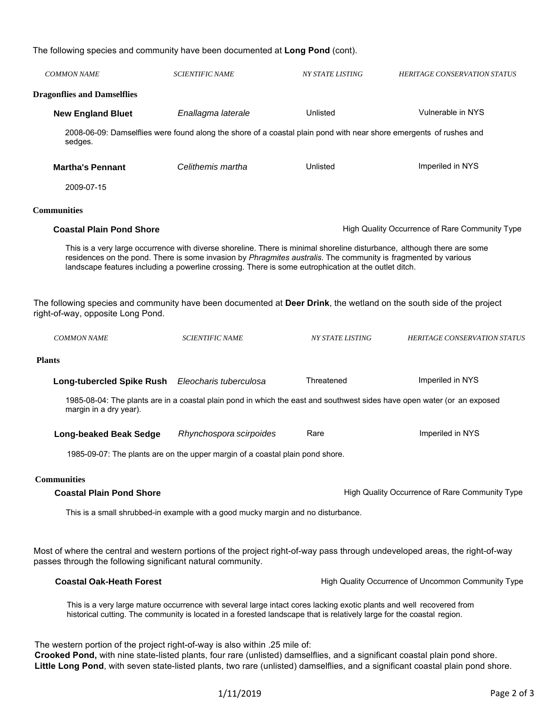The following species and community have been documented at **Long Pond** (cont).

| <b>COMMON NAME</b>                                                                                                                                                                                                                                                                                                                          | <b>SCIENTIFIC NAME</b>                                                                                                                                                                                                                                                                                                                            | <b>NY STATE LISTING</b>                            | <b>HERITAGE CONSERVATION STATUS</b>                                                                                     |  |
|---------------------------------------------------------------------------------------------------------------------------------------------------------------------------------------------------------------------------------------------------------------------------------------------------------------------------------------------|---------------------------------------------------------------------------------------------------------------------------------------------------------------------------------------------------------------------------------------------------------------------------------------------------------------------------------------------------|----------------------------------------------------|-------------------------------------------------------------------------------------------------------------------------|--|
| <b>Dragonflies and Damselflies</b>                                                                                                                                                                                                                                                                                                          |                                                                                                                                                                                                                                                                                                                                                   |                                                    |                                                                                                                         |  |
| <b>New England Bluet</b>                                                                                                                                                                                                                                                                                                                    | Enallagma laterale                                                                                                                                                                                                                                                                                                                                | Unlisted                                           | Vulnerable in NYS                                                                                                       |  |
| sedges.                                                                                                                                                                                                                                                                                                                                     | 2008-06-09: Damselflies were found along the shore of a coastal plain pond with near shore emergents of rushes and                                                                                                                                                                                                                                |                                                    |                                                                                                                         |  |
| <b>Martha's Pennant</b>                                                                                                                                                                                                                                                                                                                     | Celithemis martha                                                                                                                                                                                                                                                                                                                                 | Unlisted                                           | Imperiled in NYS                                                                                                        |  |
| 2009-07-15                                                                                                                                                                                                                                                                                                                                  |                                                                                                                                                                                                                                                                                                                                                   |                                                    |                                                                                                                         |  |
| <b>Communities</b>                                                                                                                                                                                                                                                                                                                          |                                                                                                                                                                                                                                                                                                                                                   |                                                    |                                                                                                                         |  |
| <b>Coastal Plain Pond Shore</b>                                                                                                                                                                                                                                                                                                             |                                                                                                                                                                                                                                                                                                                                                   | High Quality Occurrence of Rare Community Type     |                                                                                                                         |  |
|                                                                                                                                                                                                                                                                                                                                             | This is a very large occurrence with diverse shoreline. There is minimal shoreline disturbance, although there are some<br>residences on the pond. There is some invasion by Phragmites australis. The community is fragmented by various<br>landscape features including a powerline crossing. There is some eutrophication at the outlet ditch. |                                                    |                                                                                                                         |  |
| The following species and community have been documented at Deer Drink, the wetland on the south side of the project<br>right-of-way, opposite Long Pond.                                                                                                                                                                                   |                                                                                                                                                                                                                                                                                                                                                   |                                                    |                                                                                                                         |  |
| <b>COMMON NAME</b>                                                                                                                                                                                                                                                                                                                          | <b>SCIENTIFIC NAME</b>                                                                                                                                                                                                                                                                                                                            | <b>NY STATE LISTING</b>                            | <b>HERITAGE CONSERVATION STATUS</b>                                                                                     |  |
| <b>Plants</b>                                                                                                                                                                                                                                                                                                                               |                                                                                                                                                                                                                                                                                                                                                   |                                                    |                                                                                                                         |  |
| Long-tubercled Spike Rush Eleocharis tuberculosa                                                                                                                                                                                                                                                                                            |                                                                                                                                                                                                                                                                                                                                                   | Threatened                                         | Imperiled in NYS                                                                                                        |  |
| margin in a dry year).                                                                                                                                                                                                                                                                                                                      |                                                                                                                                                                                                                                                                                                                                                   |                                                    | 1985-08-04: The plants are in a coastal plain pond in which the east and southwest sides have open water (or an exposed |  |
| <b>Long-beaked Beak Sedge</b>                                                                                                                                                                                                                                                                                                               | Rhynchospora scirpoides                                                                                                                                                                                                                                                                                                                           | Rare                                               | Imperiled in NYS                                                                                                        |  |
|                                                                                                                                                                                                                                                                                                                                             | 1985-09-07: The plants are on the upper margin of a coastal plain pond shore.                                                                                                                                                                                                                                                                     |                                                    |                                                                                                                         |  |
| <b>Communities</b>                                                                                                                                                                                                                                                                                                                          |                                                                                                                                                                                                                                                                                                                                                   |                                                    |                                                                                                                         |  |
| <b>Coastal Plain Pond Shore</b>                                                                                                                                                                                                                                                                                                             |                                                                                                                                                                                                                                                                                                                                                   |                                                    | High Quality Occurrence of Rare Community Type                                                                          |  |
|                                                                                                                                                                                                                                                                                                                                             | This is a small shrubbed-in example with a good mucky margin and no disturbance.                                                                                                                                                                                                                                                                  |                                                    |                                                                                                                         |  |
| Most of where the central and western portions of the project right-of-way pass through undeveloped areas, the right-of-way<br>passes through the following significant natural community.                                                                                                                                                  |                                                                                                                                                                                                                                                                                                                                                   |                                                    |                                                                                                                         |  |
| <b>Coastal Oak-Heath Forest</b>                                                                                                                                                                                                                                                                                                             |                                                                                                                                                                                                                                                                                                                                                   | High Quality Occurrence of Uncommon Community Type |                                                                                                                         |  |
|                                                                                                                                                                                                                                                                                                                                             | This is a very large mature occurrence with several large intact cores lacking exotic plants and well recovered from<br>historical cutting. The community is located in a forested landscape that is relatively large for the coastal region.                                                                                                     |                                                    |                                                                                                                         |  |
| The western portion of the project right-of-way is also within .25 mile of:<br>Crooked Pond, with nine state-listed plants, four rare (unlisted) damselflies, and a significant coastal plain pond shore.<br>Little Long Pond, with seven state-listed plants, two rare (unlisted) damselflies, and a significant coastal plain pond shore. |                                                                                                                                                                                                                                                                                                                                                   |                                                    |                                                                                                                         |  |